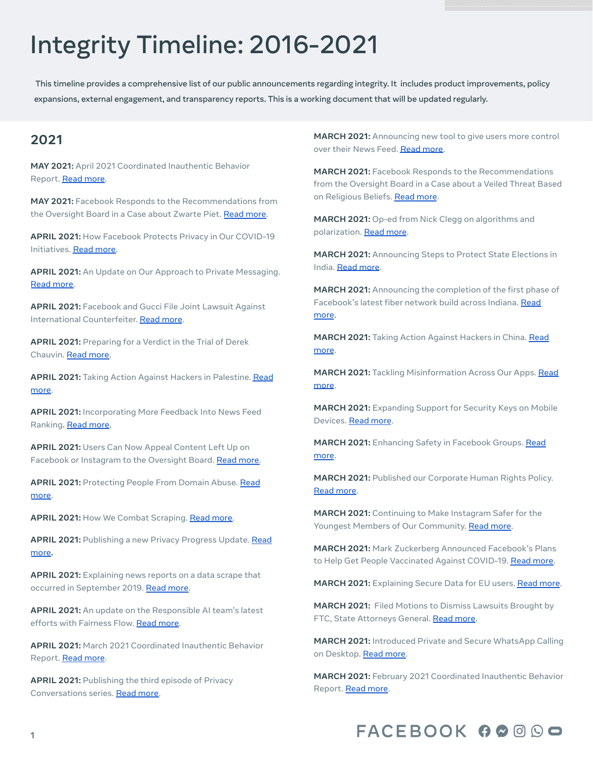# Integrity Timeline: 2016-2021

This timeline provides a comprehensive list of our public announcements regarding integrity. It includes product improvements, policy expansions, external engagement, and transparency reports. This is a working document that will be updated regularly.

## **2021**

**MAY 2021:** April 2021 Coordinated Inauthentic Behavior Report. [Read](https://about.fb.com/news/2021/05/april-2021-coordinated-inauthentic-behavior-report/) more.

**MAY 2021:** Facebook Responds to the Recommendations from the Oversight Board in a Case about Zwarte Piet. Read [more.](https://about.fb.com/news/2021/01/oversight-board-selects-case-on-zwarte-piet/)

**APRIL 2021:** How Facebook Protects Privacy in Our COVID-19 Initiatives. Read [more.](https://about.fb.com/news/2021/04/how-facebook-protects-privacy-in-our-covid-19-initiatives/)

**APRIL 2021:** An Update on Our Approach to Private Messaging. Read [more.](https://about.fb.com/news/2021/04/messenger-policy-workshop-future-of-private-messaging/)

**APRIL 2021:** Facebook and Gucci File Joint Lawsuit Against International Counterfeiter. [Read](https://about.fb.com/news/2021/04/facebook-and-gucci-file-joint-lawsuit-against-international-counterfeiter/) more.

**APRIL 2021:** Preparing for a Verdict in the Trial of Derek Chauvin. Read [more.](https://about.fb.com/news/2021/04/preparing-for-a-verdict-in-the-trial-of-derek-chauvin/)

**APRIL 2021:** Taking Action Against Hackers in Palestine. [Read](https://about.fb.com/news/2021/04/taking-action-against-hackers-in-palestine/) [more.](https://about.fb.com/news/2021/04/taking-action-against-hackers-in-palestine/)

**APRIL 2021:** Incorporating More Feedback Into News Feed Ranking. Read [more](https://about.fb.com/news/2021/04/incorporating-more-feedback-into-news-feed-ranking/).

**APRIL 2021:** Users Can Now Appeal Content Left Up on Facebook or Instagram to the Oversight Board. Read [more.](https://about.fb.com/news/2021/04/users-can-now-appeal-content-left-up-on-facebook-or-instagram-to-the-oversight-board/)

**APRIL 2021:** Protecting People From Domain Abuse. [Read](https://about.fb.com/news/2021/04/protecting-people-from-domain-abuse/) [more.](https://about.fb.com/news/2021/04/protecting-people-from-domain-abuse/)

**APRIL 2021:** How We Combat Scraping. Read [more](https://about.fb.com/news/2021/04/how-we-combat-scraping/).

**APRIL 2021:** Publishing a new Privacy Progress Update. [Read](https://about.fb.com/news/2021/04/our-privacy-progress/) [more](https://about.fb.com/news/2021/04/our-privacy-progress/)**.**

**APRIL 2021:** Explaining news reports on a data scrape that occurred in September 2019. Read [more.](https://about.fb.com/news/2021/04/facts-on-news-reports-about-facebook-data/)

**APRIL 2021:** An update on the Responsible AI team's latest efforts with Fairness Flow. Read [more.](https://about.fb.com/news/2021/03/building-ai-that-works-better-for-everyone/)

**APRIL 2021:** March 2021 Coordinated Inauthentic Behavior Report. [Read](https://about.fb.com/news/2021/04/march-2021-coordinated-inauthentic-behavior-report/) more.

**APRIL 2021:** Publishing the third episode of Privacy Conversations series. Read [more.](https://about.fb.com/news/2021/04/privacy-conversations-jules-polonetsky-explains-the-importance-of-global-data-flows/)

**MARCH 2021:** Announcing new tool to give users more control over their News Feed. Read [more.](https://about.fb.com/news/2021/03/more-control-and-context-in-news-feed/)

**MARCH 2021:** Facebook Responds to the Recommendations from the Oversight Board in a Case about a Veiled Threat Based on Religious Beliefs. [Read](https://about.fb.com/news/2020/12/oversight-board-selects-case-on-veiled-threat-based-on-religious-beliefs/) more.

**MARCH 2021:** Op-ed from Nick Clegg on algorithms and polarization. Read [more](https://about.fb.com/news/2021/03/you-and-the-algorithm-it-takes-two-to-tango/).

**MARCH 2021:** Announcing Steps to Protect State Elections in India. Read [more](https://about.fb.com/news/2021/03/steps-to-protect-elections-india/).

**MARCH 2021:** Announcing the completion of the first phase of Facebook's latest fiber network build across Indiana. [Read](https://about.fb.com/news/2021/03/indiana-fiber-build-to-enable-better-connectivity/) [more](https://about.fb.com/news/2021/03/indiana-fiber-build-to-enable-better-connectivity/).

**MARCH 2021:** Taking Action Against Hackers in China. [Read](https://about.fb.com/news/2021/03/taking-action-against-hackers-in-china/) [more](https://about.fb.com/news/2021/03/taking-action-against-hackers-in-china/).

**MARCH 2021:** Tackling Misinformation Across Our Apps. [Read](https://about.fb.com/news/2021/03/how-were-tackling-misinformation-across-our-apps/) [more](https://about.fb.com/news/2021/03/how-were-tackling-misinformation-across-our-apps/).

**MARCH 2021:** Expanding Support for Security Keys on Mobile Devices. [Read](https://about.fb.com/news/2021/03/expanding-support-for-security-keys-on-mobile-devices/) more.

**MARCH 2021:** Enhancing Safety in Facebook Groups. [Read](https://about.fb.com/news/2021/03/changes-to-keep-facebook-groups-safe/) [more](https://about.fb.com/news/2021/03/changes-to-keep-facebook-groups-safe/).

**MARCH 2021:** Published our Corporate Human Rights Policy. Read [more](https://about.fb.com/news/2021/03/our-commitment-to-human-rights/).

**MARCH 2021:** Continuing to Make Instagram Safer for the Youngest Members of Our Community. Read [more.](https://about.fb.com/news/2021/03/continuing-to-make-instagram-safer-for-the-youngest-members-of-our-community/)

**MARCH 2021:** Mark Zuckerberg Announced Facebook's Plans to Help Get People Vaccinated Against COVID-19. Read [more.](https://about.fb.com/news/2021/03/mark-zuckerberg-announces-facebooks-plans-to-help-get-people-vaccinated-against-covid-19/)

**MARCH 2021:** Explaining Secure Data for EU users. [Read](https://about.fb.com/news/2021/03/steps-we-take-to-transfer-data-securely/) more.

**MARCH 2021:** Filed Motions to Dismiss Lawsuits Brought by FTC, State Attorneys General. Read [more](https://about.fb.com/news/2021/03/motions-to-dismiss-ftc-state-ag-lawsuits/).

**MARCH 2021:** Introduced Private and Secure WhatsApp Calling on Desktop. Read [more.](https://about.fb.com/news/2021/03/introducing-private-and-secure-whatsapp-calling-on-desktop/)

**MARCH 2021:** February 2021 Coordinated Inauthentic Behavior Report. Read [more.](https://about.fb.com/news/2021/03/february-2021-coordinated-inauthentic-behavior-report/)

## FACEBOOK 00000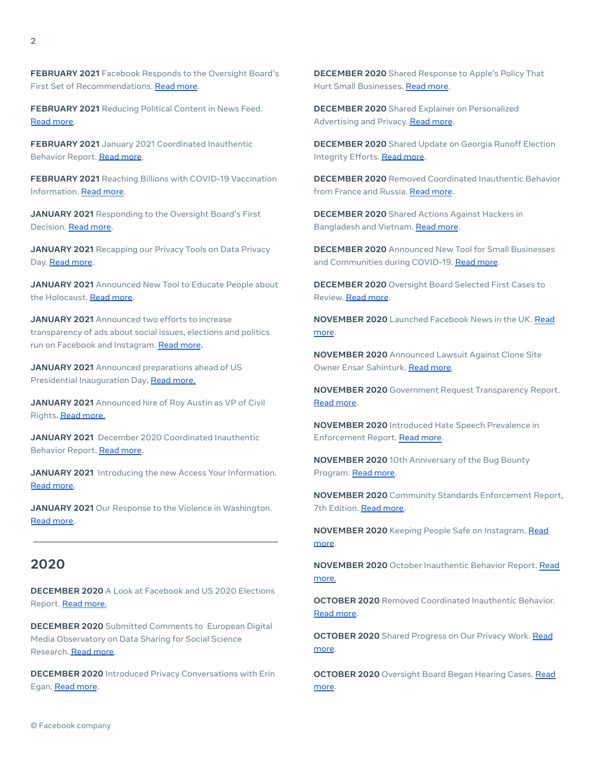**FEBRUARY 2021** Facebook Responds to the Oversight Board's First Set of Recommendations. Read [more.](https://about.fb.com/news/2021/02/facebook-response-to-the-oversight-boards-first-set-of-recommendations/)

**FEBRUARY 2021** Reducing Political Content in News Feed. Read [more.](https://about.fb.com/news/2021/02/reducing-political-content-in-news-feed/)

**FEBRUARY 2021** January 2021 Coordinated Inauthentic Behavior Report. [Read](https://about.fb.com/news/2021/02/january-2021-coordinated-inauthentic-behavior-report/) more.

**FEBRUARY 2021** Reaching Billions with COVID-19 Vaccination Information. Read [more.](https://about.fb.com/news/2021/02/reaching-billions-of-people-with-covid-19-vaccine-information/)

**JANUARY 2021** Responding to the Oversight Board's First Decision. Read [more.](https://about.fb.com/news/2021/01/responding-to-the-oversight-boards-first-decisions/)

**JANUARY 2021** Recapping our Privacy Tools on Data Privacy Day. Read [more](https://about.fb.com/news/2021/01/recapping-our-privacy-controls-on-data-privacy-day/).

**JANUARY 2021** Announced New Tool to Educate People about the Holocaust. Read [more.](https://about.fb.com/news/2021/01/connecting-people-to-credible-information-about-the-holocaust-off-facebook/)

**JANUARY 2021** Announced two efforts to increase transparency of ads about social issues, elections and politics run on Facebook and Instagram. [Read](https://about.fb.com/news/2021/01/increasing-transparency-around-us-2020-elections-ads/) more.

**JANUARY 2021** Announced preparations ahead of US Presidential Inauguration Day. Read [more.](https://about.fb.com/news/2021/01/preparing-for-inauguration-day/)

**JANUARY 2021** Announced hire of Roy Austin as VP of Civil Rights. Read [more.](https://about.fb.com/news/2021/01/roy-austin-facebook-vp-civil-rights/)

**JANUARY 2021** December 2020 Coordinated Inauthentic Behavior Report. [Read](https://about.fb.com/news/2021/01/december-2020-coordinated-inauthentic-behavior-report/) more.

**JANUARY 2021** Introducing the new Access Your Information. Read [more.](https://about.fb.com/news/2021/01/introducing-the-new-access-your-information/)

**JANUARY 2021** Our Response to the Violence in Washington. Read [more.](https://about.fb.com/news/2021/01/responding-to-the-violence-in-washington-dc/)

### **2020**

**DECEMBER 2020** A Look at Facebook and US 2020 Elections Report. Read [more.](https://about.fb.com/wp-content/uploads/2020/12/US-2020-Elections-Report.pdf)

**DECEMBER 2020** Submitted Comments to European Digital Media Observatory on Data Sharing for Social Science Research. Read [more.](https://about.fb.com/news/2020/12/comments-on-data-sharing-for-social-science-research/)

**DECEMBER 2020** Introduced Privacy Conversations with Erin Egan. [Read](https://about.fb.com/news/2020/12/introducing-privacy-conversations-with-erin-egan/) more.

**DECEMBER 2020** Shared Response to Apple's Policy That Hurt Small Businesses. Read [more](https://about.fb.com/news/2020/12/speaking-up-for-small-businesses/).

**DECEMBER 2020** Shared Explainer on Personalized Advertising and Privacy. [Read](https://about.fb.com/news/2020/12/personalized-advertising-and-privacy-are-not-at-odds/) more.

**DECEMBER 2020** Shared Update on Georgia Runoff Election Integrity Efforts. Read [more](https://about.fb.com/news/2020/12/update-on-the-georgia-runoff-elections/).

**DECEMBER 2020** Removed Coordinated Inauthentic Behavior from France and Russia. Read [more](https://about.fb.com/news/2020/12/removing-coordinated-inauthentic-behavior-france-russia/).

**DECEMBER 2020** Shared Actions Against Hackers in Bangladesh and Vietnam. [Read](https://about.fb.com/news/2020/12/taking-action-against-hackers-in-bangladesh-and-vietnam/) more.

**DECEMBER 2020** Announced New Tool for Small Businesses and Communities during COVID-19. Read [more](https://about.fb.com/news/2020/12/data-for-good-new-tools-to-help-small-businesses-and-communities-during-the-covid-19-pandemic/).

**DECEMBER 2020** Oversight Board Selected First Cases to Review. [Read](https://about.fb.com/news/2020/12/oversight-board-selects-first-cases-to-review/) more.

**NOVEMBER 2020** Launched Facebook News in the UK. [Read](https://about.fb.com/news/2020/11/launching-facebook-news-in-the-uk/) [more](https://about.fb.com/news/2020/11/launching-facebook-news-in-the-uk/).

**NOVEMBER 2020** Announced Lawsuit Against Clone Site Owner Ensar Sahinturk. Read [more.](https://about.fb.com/news/2020/11/combating-clone-sites/)

**NOVEMBER 2020** Government Request Transparency Report. Read [more](https://about.fb.com/news/2020/11/biannual-transparency-report/).

**NOVEMBER 2020** Introduced Hate Speech Prevalence in Enforcement Report. Read [more](https://about.fb.com/news/2020/11/measuring-progress-combating-hate-speech/).

**NOVEMBER 2020** 10th Anniversary of the Bug Bounty Program. Read [more.](https://about.fb.com/news/2020/11/bug-bounty-program-10th-anniversary/)

**NOVEMBER 2020** Community Standards Enforcement Report, 7th Edition. Read [more.](https://about.fb.com/news/2020/11/community-standards-enforcement-report-nov-2020/)

**NOVEMBER 2020** Keeping People Safe on Instagram. [Read](https://about.fb.com/news/2020/11/keeping-people-safe-instagram-europe/) [more](https://about.fb.com/news/2020/11/keeping-people-safe-instagram-europe/).

**NOVEMBER 2020** October Inauthentic Behavior Report. [Read](https://about.fb.com/news/2020/11/october-2020-cib-report/) [more.](https://about.fb.com/news/2020/11/october-2020-cib-report/)

**OCTOBER 2020** Removed Coordinated Inauthentic Behavior. Read [more](https://about.fb.com/news/2020/10/removing-coordinated-inauthentic-behavior-mexico-iran-myanmar/).

**OCTOBER 2020** Shared Progress on Our Privacy Work. [Read](https://about.fb.com/news/2020/10/sharing-progress-on-our-privacy-work/Shared) [more](https://about.fb.com/news/2020/10/sharing-progress-on-our-privacy-work/Shared).

**OCTOBER 2020** Oversight Board Began Hearing Cases. [Read](https://about.fb.com/news/2020/10/oversight-board-to-start-hearing-cases/) [more](https://about.fb.com/news/2020/10/oversight-board-to-start-hearing-cases/).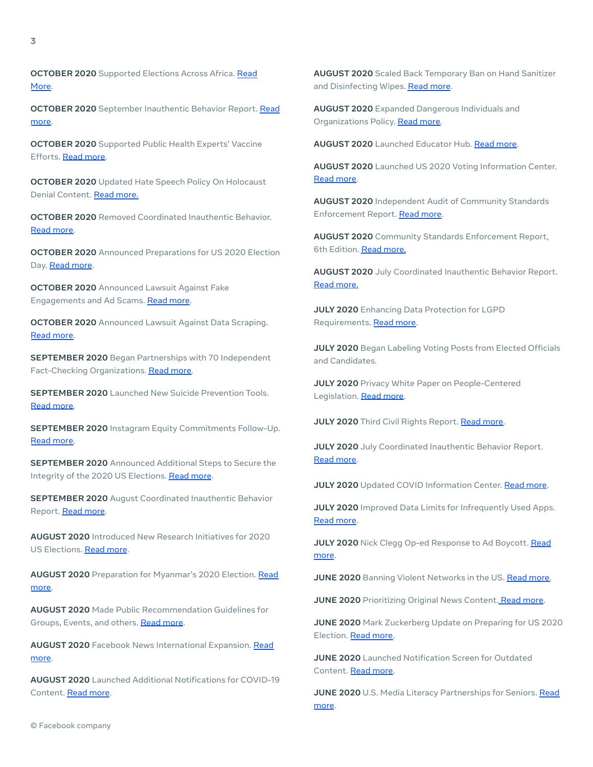**OCTOBER 2020** Supported Elections Across Africa. [Read](https://about.fb.com/news/2020/10/supporting-elections-across-africa/) [More.](https://about.fb.com/news/2020/10/supporting-elections-across-africa/)

**OCTOBER 2020** September Inauthentic Behavior Report. [Read](https://about.fb.com/news/2020/10/inauthentic-behavior-report/) [more.](https://about.fb.com/news/2020/10/inauthentic-behavior-report/)

**OCTOBER 2020** Supported Public Health Experts' Vaccine Efforts. Read [more.](https://about.fb.com/news/2020/10/supporting-public-health-experts-vaccine-efforts/)

**OCTOBER 2020** Updated Hate Speech Policy On Holocaust Denial Content. Read [more.](https://about.fb.com/news/2020/10/removing-holocaust-denial-content/)

**OCTOBER 2020** Removed Coordinated Inauthentic Behavior. Read [more.](https://about.fb.com/news/2020/10/removing-coordinated-inauthentic-behavior-september-report/)

**OCTOBER 2020** Announced Preparations for US 2020 Election Day. Read [more](https://about.fb.com/news/2020/10/preparing-for-election-day/).

**OCTOBER 2020** Announced Lawsuit Against Fake Engagements and Ad Scams. Read [more](https://about.fb.com/news/2020/10/taking-action-against-fake-engagement-and-ad-scams/).

**OCTOBER 2020** Announced Lawsuit Against Data Scraping. Read [more.](https://about.fb.com/news/2020/10/taking-legal-action-against-data-scraping/)

**SEPTEMBER 2020** Began Partnerships with 70 Independent Fact-Checking Organizations. Read [more.](https://about.fb.com/news/2020/09/stepping-up-the-fight-against-climate-change/)

**SEPTEMBER 2020** Launched New Suicide Prevention Tools. Read [more.](https://about.fb.com/news/2020/09/offering-new-ways-to-support-our-community/)

**SEPTEMBER 2020** Instagram Equity Commitments Follow-Up. Read [more.](https://about.fb.com/news/2020/09/an-update-on-our-equity-work/)

**SEPTEMBER 2020** Announced Additional Steps to Secure the Integrity of the 2020 US Elections. [Read](https://about.fb.com/news/2020/09/additional-steps-to-protect-the-us-elections/) more.

**SEPTEMBER 2020** August Coordinated Inauthentic Behavior Report. [Read](https://about.fb.com/news/2020/09/august-2020-cib-report/) more.

**AUGUST 2020** Introduced New Research Initiatives for 2020 US Elections. [Read](https://about.fb.com/news/2020/08/research-impact-of-facebook-and-instagram-on-us-election/) more.

**AUGUST 2020** Preparation for Myanmar's 2020 Election. [Read](https://about.fb.com/news/2020/08/preparing-for-myanmars-2020-election/) [more.](https://about.fb.com/news/2020/08/preparing-for-myanmars-2020-election/)

**AUGUST 2020** Made Public Recommendation Guidelines for Groups, Events, and others. [Read](https://about.fb.com/news/2020/08/recommendation-guidelines/) more.

**AUGUST 2020** Facebook News International Expansion. [Read](https://about.fb.com/news/2020/08/bringing-facebook-news-to-more-countries/) [more.](https://about.fb.com/news/2020/08/bringing-facebook-news-to-more-countries/)

**AUGUST 2020** Launched Additional Notifications for COVID-19 Content. [Read](https://about.fb.com/news/2020/06/more-context-for-news-articles-and-other-content/) more.

**AUGUST 2020** Scaled Back Temporary Ban on Hand Sanitizer and Disinfecting Wipes. [Read](https://about.fb.com/news/2020/12/coronavirus/) more.

**AUGUST 2020** Expanded Dangerous Individuals and Organizations Policy. Read [more.](https://about.fb.com/news/2020/08/addressing-movements-and-organizations-tied-to-violence/)

**AUGUST 2020** Launched Educator Hub. Read [more.](https://about.fb.com/news/2020/08/back-to-school-season/)

**AUGUST 2020** Launched US 2020 Voting Information Center. Read [more](https://about.fb.com/news/2020/08/launching-voting-information-center/).

**AUGUST 2020** Independent Audit of Community Standards Enforcement Report. Read [more](https://about.fb.com/news/2020/08/independent-audit-of-enforcement-report-metrics/).

**AUGUST 2020** Community Standards Enforcement Report, 6th Edition. Read [more.](https://about.fb.com/news/2020/08/community-standards-enforcement-report-aug-2020/)

**AUGUST 2020** July Coordinated Inauthentic Behavior Report. Read [more.](https://about.fb.com/news/2020/08/july-2020-cib-report/)

**JULY 2020** Enhancing Data Protection for LGPD Requirements. Read [more.](https://about.fb.com/news/2020/07/protecting-peoples-privacy-in-brazil/)

**JULY 2020** Began Labeling Voting Posts from Elected Officials and Candidates.

**JULY 2020** Privacy White Paper on People-Centered Legislation. Read [more.](https://about.fb.com/news/2020/07/making-data-and-privacy-easier-to-understand/)

**JULY 2020** Third Civil Rights Report. Read [more.](https://about.fb.com/news/2020/07/civil-rights-audit-report/)

**JULY 2020** July Coordinated Inauthentic Behavior Report. Read [more](https://about.fb.com/news/2020/07/removing-political-coordinated-inauthentic-behavior/).

**JULY 2020** Updated COVID Information Center. Read [more.](https://about.fb.com/news/2020/12/coronavirus/#latest)

**JULY 2020** Improved Data Limits for Infrequently Used Apps. Read [more](http://data).

**JULY 2020** Nick Clegg Op-ed Response to Ad Boycott. [Read](https://about.fb.com/news/2020/07/facebook-does-not-benefit-from-hate/) [more](https://about.fb.com/news/2020/07/facebook-does-not-benefit-from-hate/).

**JUNE 2020** Banning Violent Networks in the US. Read [more.](https://about.fb.com/news/2020/06/banning-a-violent-network-in-the-us/)

**JUNE 2020** Prioritizing Original News Content. [Read](https://about.fb.com/news/2020/06/prioritizing-original-news-reporting-on-facebook/) more.

**JUNE 2020** Mark Zuckerberg Update on Preparing for US 2020 Election. Read [more.](https://about.fb.com/news/2020/06/meeting-unique-elections-challenges/)

**JUNE 2020** Launched Notification Screen for Outdated Content. Read [more.](https://about.fb.com/news/2020/06/more-context-for-news-articles-and-other-content/)

**JUNE 2020** U.S. Media Literacy Partnerships for Seniors. [Read](http://com) [more](http://com).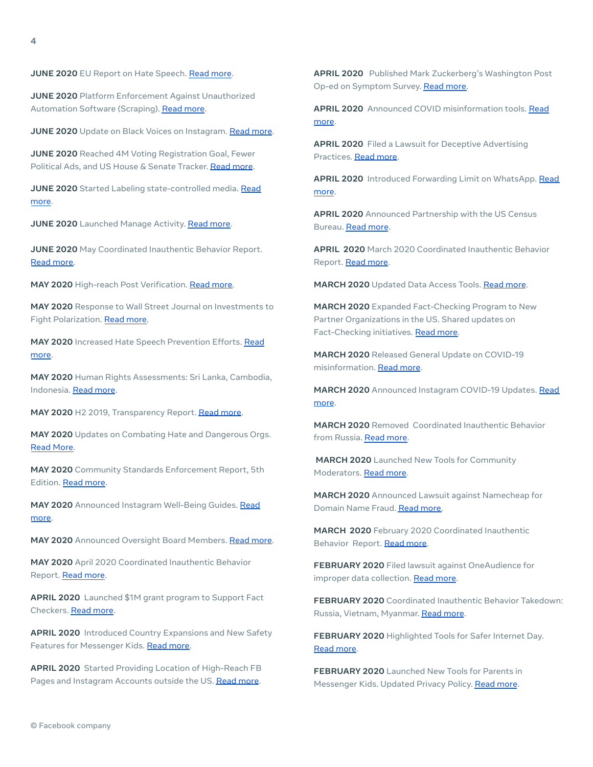**JUNE 2020** Platform Enforcement Against Unauthorized Automation Software (Scraping). [Read](https://about.fb.com/news/2020/06/automation-software-lawsuits/) more.

**JUNE 2020** Update on Black Voices on Instagram. Read [more](https://about.fb.com/news/2020/06/ensuring-black-voices-are-heard/).

**JUNE 2020** Reached 4M Voting Registration Goal, Fewer Political Ads, and US House & Senate Tracker. [Read](https://about.fb.com/news/2020/06/voting-information-center/) more.

**JUNE 2020** Started Labeling state-controlled media. [Read](https://about.fb.com/news/2020/06/labeling-state-controlled-media/) [more.](https://about.fb.com/news/2020/06/labeling-state-controlled-media/)

**JUNE 2020** Launched Manage Activity. Read [more](https://about.fb.com/news/2020/06/introducing-manage-activity/).

**JUNE 2020** May Coordinated Inauthentic Behavior Report. Read [more.](https://about.fb.com/news/2020/06/may-cib-report/)

**MAY 2020** High-reach Post Verification. Read [more.](https://about.fb.com/news/2020/05/id-verification-high-reach-profiles/)

**MAY 2020** Response to Wall Street Journal on Investments to Fight Polarization. Read [more.](https://about.fb.com/news/2020/05/investments-to-fight-polarization/)

**MAY 2020** Increased Hate Speech Prevention Efforts. [Read](https://about.fb.com/news/2019/06/social-media-and-conflict/) [more.](https://about.fb.com/news/2019/06/social-media-and-conflict/)

**MAY 2020** Human Rights Assessments: Sri Lanka, Cambodia, Indonesia. Read [more](https://about.fb.com/news/2020/05/human-rights-work-in-asia/).

**MAY 2020** H2 2019, Transparency Report. [Read](https://about.fb.com/news/2020/05/transparency-report/) more.

**MAY 2020** Updates on Combating Hate and Dangerous Orgs. Read [More.](https://about.fb.com/news/2020/05/combating-hate-and-dangerous-organizations/)

**MAY 2020** Community Standards Enforcement Report, 5th Edition. Read [more.](https://about.fb.com/news/2020/05/community-standards-enforcement-report-may-2020/)

**MAY 2020** Announced Instagram Well-Being Guides. [Read](https://about.instagram.com/blog/announcements/supporting-well-being-with-instagram-guides/) [more.](https://about.instagram.com/blog/announcements/supporting-well-being-with-instagram-guides/)

**MAY 2020** Announced Oversight Board Members. Read [more.](https://about.fb.com/news/2020/05/welcoming-the-oversight-board/)

**MAY 2020** April 2020 Coordinated Inauthentic Behavior Report. [Read](https://about.fb.com/news/2020/05/april-cib-report/) more.

**APRIL 2020** Launched \$1M grant program to Support Fact Checkers. [Read](https://www.facebook.com/journalismproject/coronavirus-grants-fact-checking) more.

**APRIL 2020** Introduced Country Expansions and New Safety Features for Messenger Kids. Read [more.](https://about.fb.com/news/2020/04/expanding-messenger-kids/)

**APRIL 2020** Started Providing Location of High-Reach FB Pages and Instagram Accounts outside the US. [Read](https://about.fb.com/news/2020/04/page-and-account-transparency/) more.

**APRIL 2020** Published Mark Zuckerberg's Washington Post Op-ed on Symptom Survey. Read [more.](https://about.fb.com/news/2020/04/symptom-surveys/)

**APRIL 2020** Announced COVID misinformation tools. [Read](https://about.fb.com/news/2020/04/covid-19-misinfo-update/) [more](https://about.fb.com/news/2020/04/covid-19-misinfo-update/).

**APRIL 2020** Filed a Lawsuit for Deceptive Advertising Practices. [Read](https://about.fb.com/news/2020/04/addressing-deceptive-ad-practices/) more.

**APRIL 2020** Introduced Forwarding Limit on WhatsApp. [Read](https://about.fb.com/news/2020/04/whatsapp-message-forward-limit/) [more](https://about.fb.com/news/2020/04/whatsapp-message-forward-limit/).

**APRIL 2020** Announced Partnership with the US Census Bureau. [Read](https://about.fb.com/news/2020/04/census/) more.

**APRIL 2020** March 2020 Coordinated Inauthentic Behavior Report. Read [more.](https://about.fb.com/news/2020/04/march-cib-report/)

**MARCH 2020** Updated Data Access Tools. [Read](https://about.fb.com/news/2020/03/data-access-tools/) more.

**MARCH 2020** Expanded Fact-Checking Program to New Partner Organizations in the US. Shared updates on Fact-Checking initiatives. Read [more.](https://www.facebook.com/journalismproject/fact-checking-expansion-and-investment-2020)

**MARCH 2020** Released General Update on COVID-19 misinformation. [Read](https://about.fb.com/news/2020/03/combating-covid-19-misinformation/) more.

**MARCH 2020** Announced Instagram COVID-19 Updates. [Read](https://about.instagram.com/blog/announcements/coronavirus-keeping-people-safe-informed-and-supported-on-instagram/) [more](https://about.instagram.com/blog/announcements/coronavirus-keeping-people-safe-informed-and-supported-on-instagram/).

**MARCH 2020** Removed Coordinated Inauthentic Behavior from Russia. Read [more.](https://about.fb.com/news/2020/03/removing-coordinated-inauthentic-behavior-from-russia/)

**MARCH 2020** Launched New Tools for Community Moderators. Read [more.](https://about.fb.com/news/2020/03/helping-community-leaders-grow/)

**MARCH 2020** Announced Lawsuit against Namecheap for Domain Name Fraud. Read [more.](https://about.fb.com/news/2020/03/domain-name-lawsuit/)

**MARCH 2020** February 2020 Coordinated Inauthentic Behavior Report. Read [more.](https://about.fb.com/news/2020/03/february-cib-report/)

**FEBRUARY 2020** Filed lawsuit against OneAudience for improper data collection. Read [more](https://about.fb.com/news/2020/02/taking-action-against-platform-abuse/).

**FEBRUARY 2020** Coordinated Inauthentic Behavior Takedown: Russia, Vietnam, Myanmar. [Read](https://about.fb.com/news/2020/02/removing-coordinated-inauthentic-behavior/) more.

**FEBRUARY 2020** Highlighted Tools for Safer Internet Day. Read [more](https://about.fb.com/news/2020/02/keeping-people-safe/).

**FEBRUARY 2020** Launched New Tools for Parents in Messenger Kids. Updated Privacy Policy. [Read](https://about.fb.com/news/2020/02/messenger-kids-controls/) more.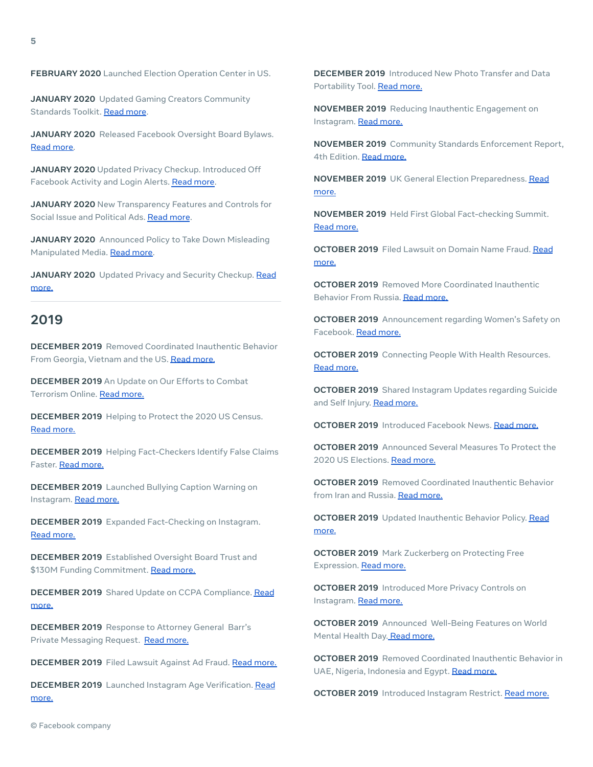#### **FEBRUARY 2020** Launched Election Operation Center in US.

**JANUARY 2020** Updated Gaming Creators Community Standards Toolkit. Read [more](https://about.fb.com/news/2020/01/inclusive-gaming/).

**JANUARY 2020** Released Facebook Oversight Board Bylaws. Read [more.](https://about.fb.com/news/2020/01/facebooks-oversight-board/)

**JANUARY 2020** Updated Privacy Checkup. Introduced Off Facebook Activity and Login Alerts. Read [more.](https://about.fb.com/news/2020/01/data-privacy-day-2020/)

**JANUARY 2020** New Transparency Features and Controls for Social Issue and Political Ads. [Read](https://about.fb.com/news/2020/01/political-ads/) more.

**JANUARY 2020** Announced Policy to Take Down Misleading Manipulated Media. Read [more.](https://about.fb.com/news/2020/01/enforcing-against-manipulated-media/)

**JANUARY 2020** Updated Privacy and Security Checkup. [Read](https://about.fb.com/news/2020/01/privacy-checkup/) [more.](https://about.fb.com/news/2020/01/privacy-checkup/)

## **2019**

**DECEMBER 2019** Removed Coordinated Inauthentic Behavior From Georgia, Vietnam and the US. Read [more.](https://about.fb.com/news/2019/12/removing-coordinated-inauthentic-behavior-from-georgia-vietnam-and-the-us/)

**DECEMBER 2019** An Update on Our Efforts to Combat Terrorism Online. Read [more.](https://about.fb.com/news/2019/12/counterterrorism-efforts-update/)

**DECEMBER 2019** Helping to Protect the 2020 US Census. Read [more.](https://about.fb.com/news/2019/12/helping-protect-the-us-census/)

**DECEMBER 2019** Helping Fact-Checkers Identify False Claims Faster. Read [more.](https://about.fb.com/news/2019/12/helping-fact-checkers/)

**DECEMBER 2019** Launched Bullying Caption Warning on Instagram. Read [more.](https://about.instagram.com/blog/announcements/our-progress-on-leading-the-fight-against-online-bullying/)

**DECEMBER 2019** Expanded Fact-Checking on Instagram. Read [more.](https://about.fb.com/news/2019/12/combatting-misinformation-on-instagram/)

**DECEMBER 2019** Established Oversight Board Trust and \$130M Funding Commitment. Read [more.](https://about.fb.com/news/2019/12/oversight-board-update/)

**DECEMBER 2019** Shared Update on CCPA Compliance. [Read](https://about.fb.com/news/2019/12/californias-new-privacy-law/) [more.](https://about.fb.com/news/2019/12/californias-new-privacy-law/)

**DECEMBER 2019** Response to Attorney General Barr's Private Messaging Request. Read [more.](https://about.fb.com/news/2019/12/facebooks-response-to-open-letter-on-private-messaging/)

**DECEMBER 2019** Filed Lawsuit Against Ad Fraud. Read [more.](https://about.fb.com/news/2019/12/taking-action-against-ad-fraud/)

**DECEMBER 2019** Launched Instagram Age Verification. [Read](https://about.instagram.com/blog/announcements/making-instagram-safer-for-the-youngest-members-of-our-community/) [more.](https://about.instagram.com/blog/announcements/making-instagram-safer-for-the-youngest-members-of-our-community/)

**DECEMBER 2019** Introduced New Photo Transfer and Data Portability Tool. Read [more.](https://about.fb.com/news/2019/12/data-portability-photo-transfer-tool/)

**NOVEMBER 2019** Reducing Inauthentic Engagement on Instagram. Read [more.](https://about.instagram.com/blog/announcements/reducing-inauthentic-activity-on-instagram/)

**NOVEMBER 2019** Community Standards Enforcement Report, 4th Edition. Read [more.](https://about.fb.com/news/2019/11/community-standards-enforcement-report-nov-2019/)

**NOVEMBER 2019** UK General Election Preparedness. [Read](https://about.fb.com/news/2019/11/how-facebook-is-prepared-for-the-2019-uk-general-election/) [more.](https://about.fb.com/news/2019/11/how-facebook-is-prepared-for-the-2019-uk-general-election/)

**NOVEMBER 2019** Held First Global Fact-checking Summit. Read [more.](https://www.facebook.com/journalismproject/fact-checking-summit)

**OCTOBER 2019** Filed Lawsuit on Domain Name Fraud. [Read](https://about.fb.com/news/2019/10/fighting-domain-name-fraud/) [more.](https://about.fb.com/news/2019/10/fighting-domain-name-fraud/)

**OCTOBER 2019** Removed More Coordinated Inauthentic Behavior From Russia. Read [more.](https://about.fb.com/news/2019/10/removing-more-coordinated-inauthentic-behavior-from-russia/)

**OCTOBER 2019** Announcement regarding Women's Safety on Facebook. Read [more.](https://about.fb.com/news/2019/10/inside-feed-womens-safety/)

**OCTOBER 2019** Connecting People With Health Resources. Read [more.](https://about.fb.com/news/2019/10/connecting-people-with-health-resources/)

**OCTOBER 2019** Shared Instagram Updates regarding Suicide and Self Injury. Read [more.](https://about.instagram.com/blog/announcements/more-steps-to-keep-instagram-users-safe/)

**OCTOBER 2019** Introduced Facebook News. Read [more.](https://about.fb.com/news/2019/10/introducing-facebook-news/)

**OCTOBER 2019** Announced Several Measures To Protect the 2020 US Elections. Read [more.](https://about.fb.com/news/2019/10/update-on-election-integrity-efforts/)

**OCTOBER 2019** Removed Coordinated Inauthentic Behavior from Iran and Russia. Read [more.](https://about.fb.com/news/2019/10/removing-more-coordinated-inauthentic-behavior-from-iran-and-russia/)

**OCTOBER 2019** Updated Inauthentic Behavior Policy. [Read](https://about.fb.com/news/2019/10/inauthentic-behavior-policy-update/) [more.](https://about.fb.com/news/2019/10/inauthentic-behavior-policy-update/)

**OCTOBER 2019** Mark Zuckerberg on Protecting Free Expression. Read [more.](https://about.fb.com/news/2019/10/mark-zuckerberg-stands-for-voice-and-free-expression/)

**OCTOBER 2019** Introduced More Privacy Controls on Instagram. Read [more.](https://about.instagram.com/blog/announcements/increasing-personal-user-data-control/)

**OCTOBER 2019** Announced Well-Being Features on World Mental Health Day. Read [more.](https://about.fb.com/news/2019/10/lets-talk-about-mental-health/)

**OCTOBER 2019** Removed Coordinated Inauthentic Behavior in UAE, Nigeria, Indonesia and Egypt. Read [more.](https://about.fb.com/news/2019/10/removing-coordinated-inauthentic-behavior-in-uae-nigeria-indonesia-and-egypt/)

**OCTOBER 2019** Introduced Instagram Restrict. Read [more.](https://about.instagram.com/blog/announcements/stand-up-against-bullying-with-restrict/)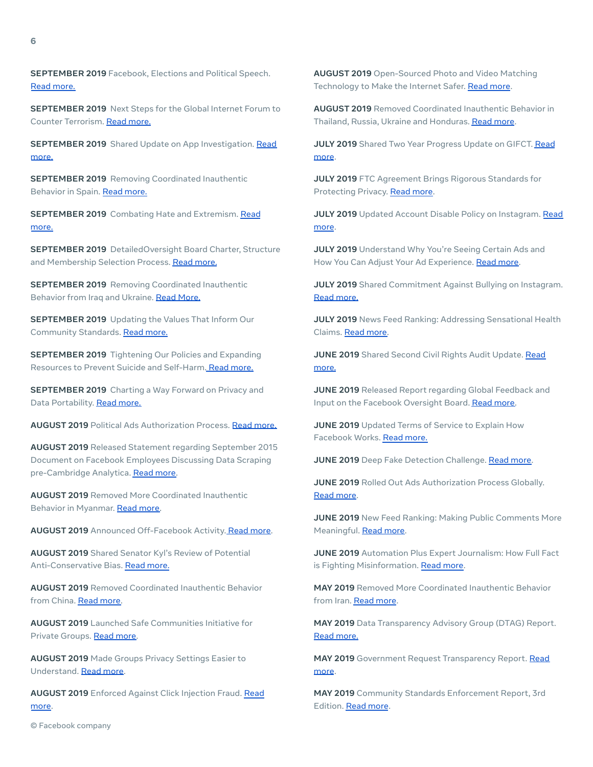**SEPTEMBER 2019** Facebook, Elections and Political Speech. Read [more.](https://about.fb.com/news/2019/09/elections-and-political-speech/)

**SEPTEMBER 2019** Next Steps for the Global Internet Forum to Counter Terrorism. Read [more.](https://about.fb.com/news/2019/09/next-steps-for-gifct/)

**SEPTEMBER 2019** Shared Update on App Investigation. [Read](https://about.fb.com/news/2019/09/an-update-on-our-app-developer-investigation/) [more.](https://about.fb.com/news/2019/09/an-update-on-our-app-developer-investigation/)

**SEPTEMBER 2019** Removing Coordinated Inauthentic Behavior in Spain. Read [more.](https://about.fb.com/news/2019/09/removing-coordinated-inauthentic-behavior-in-spain/)

**SEPTEMBER 2019** Combating Hate and Extremism. [Read](https://about.fb.com/news/2019/09/combating-hate-and-extremism/) [more.](https://about.fb.com/news/2019/09/combating-hate-and-extremism/)

**SEPTEMBER 2019** DetailedOversight Board Charter, Structure and Membership Selection Process. Read [more.](https://about.fb.com/news/2019/09/oversight-board-structure/)

**SEPTEMBER 2019** Removing Coordinated Inauthentic Behavior from Iraq and Ukraine. Read [More.](https://about.fb.com/news/2019/09/removing-coordinated-inauthentic-behavior-from-iraq-and-ukraine/)

**SEPTEMBER 2019** Updating the Values That Inform Our Community Standards. Read [more.](https://about.fb.com/news/2019/09/updating-the-values-that-inform-our-community-standards/)

**SEPTEMBER 2019** Tightening Our Policies and Expanding Resources to Prevent Suicide and Self-Harm. Read [more.](https://about.fb.com/news/2019/09/tightening-our-policies-and-expanding-resources-to-prevent-suicide-and-self-harm/)

**SEPTEMBER 2019** Charting a Way Forward on Privacy and Data Portability. Read [more.](https://about.fb.com/news/2019/09/privacy-and-data-portability/)

**AUGUST 2019** Political Ads Authorization Process. Read [more.](https://about.fb.com/news/2019/08/updates-to-ads-about-social-issues-elections-or-politics-in-the-us/)

**AUGUST 2019** Released Statement regarding September 2015 Document on Facebook Employees Discussing Data Scraping pre-Cambridge Analytica. Read [more.](https://about.fb.com/news/2019/08/document-holds-the-potential-for-confusion/)

**AUGUST 2019** Removed More Coordinated Inauthentic Behavior in Myanmar. Read [more.](https://about.fb.com/news/2019/08/more-cib-myanmar/)

**AUGUST 2019** Announced Off-Facebook Activity. Read [more.](https://about.fb.com/news/2019/08/off-facebook-activity/)

**AUGUST 2019** Shared Senator Kyl's Review of Potential Anti-Conservative Bias. Read [more.](https://about.fb.com/news/2019/08/update-on-potential-anti-conservative-bias/)

**AUGUST 2019** Removed Coordinated Inauthentic Behavior from China. Read [more.](https://about.fb.com/news/2019/08/removing-cib-china/)

**AUGUST 2019** Launched Safe Communities Initiative for Private Groups. Read [more.](https://about.fb.com/news/2019/08/private-groups-safety/)

**AUGUST 2019** Made Groups Privacy Settings Easier to Understand. Read [more.](https://about.fb.com/news/2019/08/groups-privacy-settings/)

**AUGUST 2019** Enforced Against Click Injection Fraud. [Read](https://about.fb.com/news/2019/08/enforcing-against-click-injection-fraud/) [more.](https://about.fb.com/news/2019/08/enforcing-against-click-injection-fraud/)

**AUGUST 2019** Open-Sourced Photo and Video Matching Technology to Make the Internet Safer. Read [more](https://about.fb.com/news/2019/08/open-source-photo-video-matching/).

**AUGUST 2019** Removed Coordinated Inauthentic Behavior in Thailand, Russia, Ukraine and Honduras. [Read](https://about.fb.com/news/2019/07/removing-cib-thailand-russia-ukraine-honduras/) more.

**JULY 2019** Shared Two Year Progress Update on GIFCT. [Read](https://about.fb.com/news/2019/07/global-internet-forum-to-counter-terrorism-an-update-on-our-progress-two-years-on/) [more](https://about.fb.com/news/2019/07/global-internet-forum-to-counter-terrorism-an-update-on-our-progress-two-years-on/).

**JULY 2019** FTC Agreement Brings Rigorous Standards for Protecting Privacy. Read [more](https://about.fb.com/news/2019/07/ftc-agreement/).

**JULY 2019** Updated Account Disable Policy on Instagram. [Read](https://about.instagram.com/blog/announcements/account-disable-policy-changes-on-instagram/) [more](https://about.instagram.com/blog/announcements/account-disable-policy-changes-on-instagram/).

**JULY 2019** Understand Why You're Seeing Certain Ads and How You Can Adjust Your Ad Experience. Read [more.](https://about.fb.com/news/2019/07/understand-why-youre-seeing-ads/)

**JULY 2019** Shared Commitment Against Bullying on Instagram. Read [more.](https://about.instagram.com/blog/announcements/instagrams-commitment-to-lead-fight-against-online-bullying/)

**JULY 2019** News Feed Ranking: Addressing Sensational Health Claims. Read [more.](https://about.fb.com/news/2019/07/addressing-sensational-health-claims/)

**JUNE 2019** Shared Second Civil Rights Audit Update. [Read](https://about.fb.com/news/2019/06/second-update-civil-rights-audit/) [more.](https://about.fb.com/news/2019/06/second-update-civil-rights-audit/)

**JUNE 2019** Released Report regarding Global Feedback and Input on the Facebook Oversight Board. Read [more.](https://about.fb.com/news/2019/06/global-feedback-on-oversight-board/)

**JUNE 2019** Updated Terms of Service to Explain How Facebook Works. Read [more.](https://about.fb.com/news/2019/06/updating-our-terms/)

**JUNE 2019** Deep Fake Detection Challenge. Read [more.](https://ai.facebook.com/datasets/dfdc/)

**JUNE 2019** Rolled Out Ads Authorization Process Globally. Read [more](https://about.fb.com/news/2019/06/offering-greater-transparency/).

**JUNE 2019** New Feed Ranking: Making Public Comments More Meaningful. Read [more.](https://about.fb.com/news/2019/06/making-public-comments-more-meaningful/)

**JUNE 2019** Automation Plus Expert Journalism: How Full Fact is Fighting Misinformation. Read [more.](https://about.fb.com/news/2019/06/inside-feed-full-fact-interview/)

**MAY 2019** Removed More Coordinated Inauthentic Behavior from Iran. [Read](https://about.fb.com/news/2019/05/removing-more-cib-from-iran/) more.

**MAY 2019** Data Transparency Advisory Group (DTAG) Report. Read [more.](https://about.fb.com/news/2019/05/dtag-report/)

**MAY 2019** Government Request Transparency Report. [Read](https://about.fb.com/news/2019/05/dtag-report/) [more](https://about.fb.com/news/2019/05/dtag-report/).

**MAY 2019** Community Standards Enforcement Report, 3rd Edition. [Read](https://about.fb.com/news/2019/05/measuring-prevalence/) more.

© Facebook company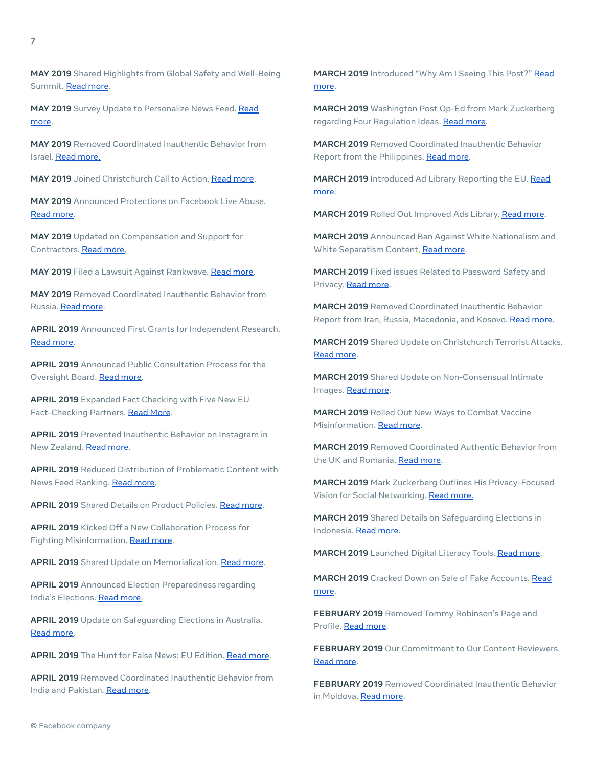**MAY 2019** Survey Update to Personalize News Feed. [Read](https://about.fb.com/news/2019/05/more-personalized-experiences/) [more.](https://about.fb.com/news/2019/05/more-personalized-experiences/)

**MAY 2019** Removed Coordinated Inauthentic Behavior from Israel. Read [more.](https://about.fb.com/news/2019/05/removing-coordinated-inauthentic-behavior-from-israel/)

**MAY 2019** Joined Christchurch Call to Action. [Read](https://about.fb.com/news/2019/05/christchurch-call-to-action/) more.

**MAY 2019** Announced Protections on Facebook Live Abuse. Read [more.](https://about.fb.com/news/2019/05/protecting-live-from-abuse/)

**MAY 2019** Updated on Compensation and Support for Contractors. Read [more.](https://about.fb.com/news/2019/05/compensating-and-supporting-contractors/)

**MAY 2019** Filed a Lawsuit Against Rankwave. Read [more.](https://about.fb.com/news/2019/05/enforcing-our-platform-policies/)

**MAY 2019** Removed Coordinated Inauthentic Behavior from Russia. [Read](https://about.fb.com/news/2019/05/more-cib-from-russia/) more.

**APRIL 2019** Announced First Grants for Independent Research. Read [more.](https://about.fb.com/news/2019/04/election-research-grants/)

**APRIL 2019** Announced Public Consultation Process for the Oversight Board. Read [more](https://about.fb.com/news/2019/04/input-on-an-oversight-board/).

**APRIL 2019** Expanded Fact Checking with Five New EU Fact-Checking Partners. Read [More](https://about.fb.com/news/2019/04/protecting-eu-elections-from-misinformation/).

**APRIL 2019** Prevented Inauthentic Behavior on Instagram in New Zealand. Read [more.](https://about.fb.com/news/2019/04/preventing-inauthentic-behavior-on-instagram/)

**APRIL 2019** Reduced Distribution of Problematic Content with News Feed Ranking. Read [more.](https://about.fb.com/news/2019/04/remove-reduce-inform-new-steps/)

**APRIL 2019** Shared Details on Product Policies. Read [more](https://about.fb.com/news/2019/04/insidefeed-community-standards-development-process/).

**APRIL 2019** Kicked Off a New Collaboration Process for Fighting Misinformation. Read [more.](https://about.fb.com/news/2019/04/tackling-more-false-news-more-quickly/)

**APRIL 2019** Shared Update on Memorialization. Read [more](https://about.fb.com/news/2019/04/updates-to-memorialization/).

**APRIL 2019** Announced Election Preparedness regarding India's Elections. Read [more.](https://about.fb.com/news/2019/04/preparing-for-indian-elections/)

**APRIL 2019** Update on Safeguarding Elections in Australia. Read [more.](https://about.fb.com/news/2019/04/safeguard-elections-in-australia/)

**APRIL 2019** The Hunt for False News: EU Edition. [Read](https://about.fb.com/news/2019/04/the-hunt-for-false-news-eu-edition/) more.

**APRIL 2019** Removed Coordinated Inauthentic Behavior from India and Pakistan. Read [more.](https://about.fb.com/news/2019/04/cib-and-spam-from-india-pakistan/)

**MARCH 2019** Introduced "Why Am I Seeing This Post?" [Read](https://about.fb.com/news/2019/03/why-am-i-seeing-this/) [more](https://about.fb.com/news/2019/03/why-am-i-seeing-this/).

**MARCH 2019** Washington Post Op-Ed from Mark Zuckerberg regarding Four Regulation Ideas. Read [more.](https://about.fb.com/news/2019/03/four-ideas-regulate-internet/)

**MARCH 2019** Removed Coordinated Inauthentic Behavior Report from the Philippines. [Read](https://about.fb.com/news/2019/03/cib-from-the-philippines/) more.

**MARCH 2019** Introduced Ad Library Reporting the EU. [Read](https://about.fb.com/news/2019/03/ads-transparency-in-the-eu/) [more.](https://about.fb.com/news/2019/03/ads-transparency-in-the-eu/)

**MARCH 2019** Rolled Out Improved Ads Library. Read [more](https://about.fb.com/news/2019/03/a-better-way-to-learn-about-ads/).

**MARCH 2019** Announced Ban Against White Nationalism and White Separatism Content. [Read](https://about.fb.com/news/2019/03/standing-against-hate/) more.

**MARCH 2019** Fixed issues Related to Password Safety and Privacy. Read [more.](https://about.fb.com/news/2019/03/keeping-passwords-secure/)

**MARCH 2019** Removed Coordinated Inauthentic Behavior Report from Iran, Russia, Macedonia, and Kosovo. Read [more.](https://about.fb.com/news/2019/03/cib-iran-russia-macedonia-kosovo/)

**MARCH 2019** Shared Update on Christchurch Terrorist Attacks. Read [more](https://about.fb.com/news/2019/03/update-on-new-zealand/).

**MARCH 2019** Shared Update on Non-Consensual Intimate Images. Read [more.](https://about.fb.com/news/2019/03/protecting-intimate-images/)

**MARCH 2019** Rolled Out New Ways to Combat Vaccine Misinformation. [Read](https://about.fb.com/news/2019/03/combatting-vaccine-misinformation/) more.

**MARCH 2019** Removed Coordinated Authentic Behavior from the UK and Romania. [Read](https://about.fb.com/news/2019/03/removing-cib-uk-and-romania/) more.

**MARCH 2019** Mark Zuckerberg Outlines His Privacy-Focused Vision for Social Networking. Read [more.](https://about.fb.com/news/2019/03/vision-for-social-networking/)

**MARCH 2019** Shared Details on Safeguarding Elections in Indonesia. Read [more.](https://about.fb.com/news/2019/03/elections-in-indonesia/)

**MARCH 2019** Launched Digital Literacy Tools. Read [more.](https://about.fb.com/news/2019/03/introducing-we-think-digital-new-digital-literacy-resources-to-reach-1-million-people-in-asia-pacific-by-2020/)

**MARCH 2019** Cracked Down on Sale of Fake Accounts. [Read](https://about.fb.com/news/2019/03/sale-of-fake-accounts-likes-and-followers/) [more](https://about.fb.com/news/2019/03/sale-of-fake-accounts-likes-and-followers/).

**FEBRUARY 2019** Removed Tommy Robinson's Page and Profile. Read [more.](https://about.fb.com/news/2019/02/removing-tommy-robinson/)

**FEBRUARY 2019** Our Commitment to Our Content Reviewers. Read [more](https://about.fb.com/news/2019/02/commitment-to-content-reviewers/).

**FEBRUARY 2019** Removed Coordinated Inauthentic Behavior in Moldova. [Read](https://about.fb.com/news/2019/02/cib-from-moldova/) more.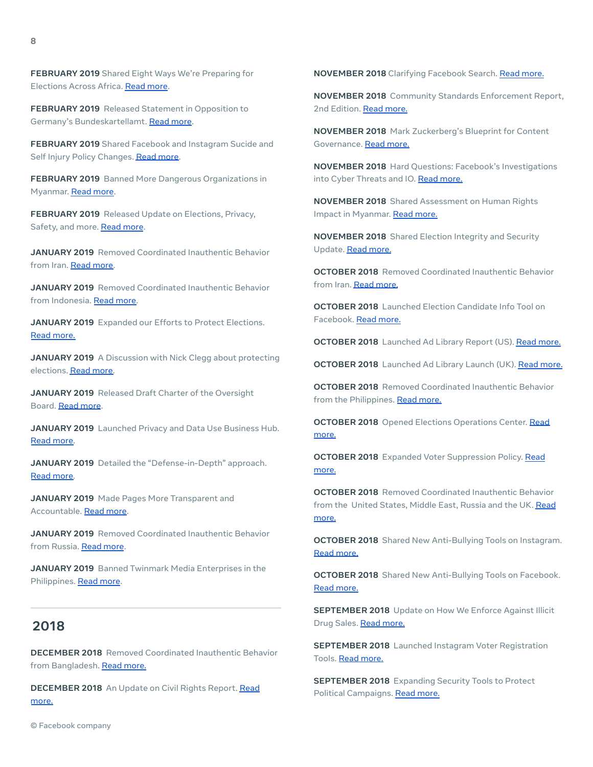**FEBRUARY 2019** Released Statement in Opposition to Germany's Bundeskartellamt. Read [more](https://about.fb.com/news/2019/02/bundeskartellamt-order/).

**FEBRUARY 2019** Shared Facebook and Instagram Sucide and Self Injury Policy Changes. Read [more.](https://about.fb.com/news/2019/02/protecting-people-from-self-harm/)

**FEBRUARY 2019** Banned More Dangerous Organizations in Myanmar. Read [more.](https://about.fb.com/news/2019/02/dangerous-organizations-in-myanmar/)

**FEBRUARY 2019** Released Update on Elections, Privacy, Safety, and more. [Read](https://about.fb.com/news/2019/02/addressing-challenges/) more.

**JANUARY 2019** Removed Coordinated Inauthentic Behavior from Iran. Read [more.](https://about.fb.com/news/2019/01/removing-cib-iran/)

**JANUARY 2019** Removed Coordinated Inauthentic Behavior from Indonesia. Read [more.](https://about.fb.com/news/2019/01/taking-down-coordinated-inauthentic-behavior-in-indonesia/)

**JANUARY 2019** Expanded our Efforts to Protect Elections. Read [more.](https://about.fb.com/news/2019/01/elections-2019/)

**JANUARY 2019** A Discussion with Nick Clegg about protecting elections. Read [more.](https://about.fb.com/news/2019/01/a-discussion-with-nick-clegg/)

**JANUARY 2019** Released Draft Charter of the Oversight Board. [Read](https://about.fb.com/news/2019/01/oversight-board/) more.

**JANUARY 2019** Launched Privacy and Data Use Business Hub. Read [more.](https://about.fb.com/news/2019/01/data-privacy-day/)

**JANUARY 2019** Detailed the "Defense-in-Depth" approach. Read [more.](https://about.fb.com/news/2019/01/designing-security-for-billions/)

**JANUARY 2019** Made Pages More Transparent and Accountable. Read [more.](https://about.fb.com/news/2019/01/making-pages-more-transparent/)

**JANUARY 2019** Removed Coordinated Inauthentic Behavior from Russia. Read [more](https://about.fb.com/news/2019/01/removing-cib-from-russia/).

**JANUARY 2019** Banned Twinmark Media Enterprises in the Philippines. [Read](https://about.fb.com/news/2019/01/banning-twinmark-media-enterprises/) more.

## **2018**

**DECEMBER 2018** Removed Coordinated Inauthentic Behavior from Bangladesh. Read [more.](https://about.fb.com/news/2018/12/take-down-in-bangladesh/)

**DECEMBER 2018** An Update on Civil Rights Report. [Read](https://about.fb.com/news/2018/12/civil-rights-audit/) [more.](https://about.fb.com/news/2018/12/civil-rights-audit/)

**NOVEMBER 2018** Clarifying Facebook Search. Read [more.](https://about.fb.com/news/2018/11/inside-feed-how-search-works/)

**NOVEMBER 2018** Community Standards Enforcement Report, 2nd Edition. Read [more.](https://about.fb.com/news/2018/11/enforcing-our-community-standards-2/)

**NOVEMBER 2018** Mark Zuckerberg's Blueprint for Content Governance. Read [more.](https://www.facebook.com/notes/mark-zuckerberg/a-blueprint-for-content-governance-and-enforcement/10156443129621634/?hc_location=ufi)

**NOVEMBER 2018** Hard Questions: Facebook's Investigations into Cyber Threats and IO. Read [more.](https://about.fb.com/news/2018/11/investigating-threats/)

**NOVEMBER 2018** Shared Assessment on Human Rights Impact in Myanmar. Read [more.](https://about.fb.com/news/2018/11/myanmar-hria/)

**NOVEMBER 2018** Shared Election Integrity and Security Update. Read [more.](https://about.fb.com/news/2018/11/election-update/)

**OCTOBER 2018** Removed Coordinated Inauthentic Behavior from Iran. Read [more.](https://about.fb.com/news/2018/10/coordinated-inauthentic-behavior-takedown/)

**OCTOBER 2018** Launched Election Candidate Info Tool on Facebook. Read [more.](https://about.fb.com/news/2018/10/candidate-info/)

**OCTOBER 2018** Launched Ad Library Report (US). Read [more.](https://about.fb.com/news/2018/10/ad-archive-report/)

**OCTOBER 2018** Launched Ad Library Launch (UK). Read [more.](https://about.fb.com/news/2018/10/ad-archive-report/)

**OCTOBER 2018** Removed Coordinated Inauthentic Behavior from the Philippines. Read [more.](https://about.fb.com/news/2018/10/removing-a-spam-network-from-facebook-in-the-philippines/)

**OCTOBER 2018** Opened Elections Operations Center. [Read](https://about.fb.com/news/2018/10/war-room/) [more.](https://about.fb.com/news/2018/10/war-room/)

**OCTOBER 2018** Expanded Voter Suppression Policy. [Read](https://about.fb.com/news/2018/10/voter-suppression-policies/) [more.](https://about.fb.com/news/2018/10/voter-suppression-policies/)

**OCTOBER 2018** Removed Coordinated Inauthentic Behavior from the United States, Middle East, Russia and the UK. [Read](https://about.fb.com/news/2018/10/removing-inauthentic-activity/) [more.](https://about.fb.com/news/2018/10/removing-inauthentic-activity/)

**OCTOBER 2018** Shared New Anti-Bullying Tools on Instagram. Read [more.](https://about.instagram.com/blog/announcements/anti-bullying-tools-on-instagram/)

**OCTOBER 2018** Shared New Anti-Bullying Tools on Facebook. Read [more.](https://about.fb.com/news/2018/10/protecting-people-from-bullying/)

**SEPTEMBER 2018** Update on How We Enforce Against Illicit Drug Sales. Read [more.](https://about.fb.com/news/2018/09/enforcing-against-drug-sales/)

**SEPTEMBER 2018** Launched Instagram Voter Registration Tools. Read [more.](https://about.instagram.com/blog/announcements/instagram-helps-users-register-to-vote/)

**SEPTEMBER 2018** Expanding Security Tools to Protect Political Campaigns. Read [more.](https://about.fb.com/news/2018/09/security-political-campaigns/)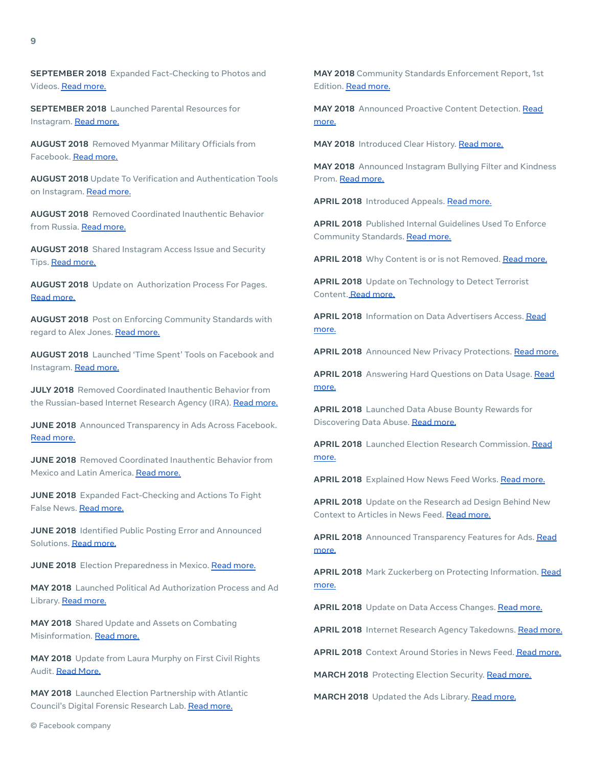**SEPTEMBER 2018** Expanded Fact-Checking to Photos and Videos. Read [more.](https://about.fb.com/news/2018/09/expanding-fact-checking/)

**SEPTEMBER 2018** Launched Parental Resources for Instagram. Read [more.](https://about.instagram.com/blog/tips-and-tricks/new-resource-for-what-parents-need-to-know-about-instagram/)

**AUGUST 2018** Removed Myanmar Military Officials from Facebook. Read [more.](https://about.fb.com/news/2018/08/removing-myanmar-officials/)

**AUGUST 2018** Update To Verification and Authentication Tools on Instagram. Read [more.](https://about.instagram.com/blog/announcements/instagram-verification-and-authentication-tool-updates/)

**AUGUST 2018** Removed Coordinated Inauthentic Behavior from Russia. Read [more.](https://about.fb.com/news/2018/08/more-coordinated-inauthentic-behavior/)

**AUGUST 2018** Shared Instagram Access Issue and Security Tips. Read [more.](https://about.instagram.com/blog/tips-and-tricks/instagram-account-access-issue/)

**AUGUST 2018** Update on Authorization Process For Pages. Read [more.](https://about.fb.com/news/2018/08/shining-a-brighter-light-on-facebook-pages/)

**AUGUST 2018** Post on Enforcing Community Standards with regard to Alex Jones. Read [more.](https://about.fb.com/news/2018/08/enforcing-our-community-standards/)

**AUGUST 2018** Launched 'Time Spent' Tools on Facebook and Instagram. Read [more.](https://about.instagram.com/blog/announcements/new-time-management-tools-on-instagram-and-facebook/)

**JULY 2018** Removed Coordinated Inauthentic Behavior from the Russian-based Internet Research Agency (IRA). Read [more.](https://about.fb.com/news/2018/07/removing-bad-actors-on-facebook/)

**JUNE 2018** Announced Transparency in Ads Across Facebook. Read [more.](https://about.fb.com/news/2018/06/transparency-for-ads-and-pages/)

**JUNE 2018** Removed Coordinated Inauthentic Behavior from Mexico and Latin America. Read [more.](https://about.fb.com/news/2018/06/removing-bad-actors-from-facebook/)

**JUNE 2018** Expanded Fact-Checking and Actions To Fight False News. Read [more.](https://about.fb.com/news/2018/06/increasing-our-efforts-to-fight-false-news/)

**JUNE 2018** Identified Public Posting Error and Announced Solutions. Read [more.](https://about.fb.com/news/2018/06/audience-selector-error/)

**JUNE 2018** Election Preparedness in Mexico. Read [more.](https://about.fb.com/news/2018/06/protecting-the-mexican-election/)

**MAY 2018** Launched Political Ad Authorization Process and Ad Library. Read [more.](https://about.fb.com/news/2018/05/ads-with-political-content/)

**MAY 2018** Shared Update and Assets on Combating Misinformation. Read [more.](https://about.fb.com/news/2018/05/facing-facts-facebooks-fight-against-misinformation/)

**MAY 2018** Update from Laura Murphy on First Civil Rights Audit. Read [More.](https://about.fb.com/news/2018/12/civil-rights-audit/)

**MAY 2018** Launched Election Partnership with Atlantic Council's Digital Forensic Research Lab. Read [more.](https://about.fb.com/news/2018/05/announcing-new-election-partnership-with-the-atlantic-council/)

**MAY 2018** Community Standards Enforcement Report, 1st Edition. Read [more.](https://about.fb.com/news/2018/05/enforcement-numbers/)

**MAY 2018** Announced Proactive Content Detection. [Read](https://about.fb.com/news/2018/05/removing-content-using-ai/) [more.](https://about.fb.com/news/2018/05/removing-content-using-ai/)

**MAY 2018** Introduced Clear History. Read [more.](https://about.fb.com/news/2018/05/clear-history-2/)

**MAY 2018** Announced Instagram Bullying Filter and Kindness Prom. Read [more.](https://about.instagram.com/blog/announcements/bully-filter-and-kindness-prom-to-protect-our-community/)

**APRIL 2018** Introduced Appeals. Read [more.](https://newsroom.fb.com/news/2018/04/comprehensive-community-standards/)

**APRIL 2018** Published Internal Guidelines Used To Enforce Community Standards. Read [more.](https://newsroom.fb.com/news/2018/04/comprehensive-community-standards/)

APRIL 2018 Why Content is or is not Removed. Read [more.](https://about.fb.com/news/2018/04/community-standards-examples/)

**APRIL 2018** Update on Technology to Detect Terrorist Content. Read [more.](https://about.fb.com/news/2018/04/keeping-terrorists-off-facebook/)

**APRIL 2018** Information on Data Advertisers Access. [Read](https://about.fb.com/news/2018/04/data-and-advertising/) [more.](https://about.fb.com/news/2018/04/data-and-advertising/)

**APRIL 2018** Announced New Privacy Protections. Read [more.](https://about.fb.com/news/2018/04/new-privacy-protections/)

**APRIL 2018** Answering Hard Questions on Data Usage. [Read](https://about.fb.com/news/2018/04/data-off-facebook/) [more.](https://about.fb.com/news/2018/04/data-off-facebook/)

**APRIL 2018** Launched Data Abuse Bounty Rewards for Discovering Data Abuse. Read [more.](https://about.fb.com/news/2018/04/data-abuse-bounty/)

**APRIL 2018** Launched Election Research Commission. [Read](https://about.fb.com/news/2018/04/new-elections-initiative/) [more.](https://about.fb.com/news/2018/04/new-elections-initiative/)

**APRIL 2018** Explained How News Feed Works. Read [more.](https://about.fb.com/news/2018/04/inside-feed-zigmond-podcast/)

**APRIL 2018** Update on the Research ad Design Behind New Context to Articles in News Feed. Read [more.](https://about.fb.com/news/2018/04/inside-feed-article-context/)

**APRIL 2018** Announced Transparency Features for Ads. [Read](https://about.fb.com/news/2018/04/transparent-ads-and-pages/) [more.](https://about.fb.com/news/2018/04/transparent-ads-and-pages/)

**APRIL 2018** Mark Zuckerberg on Protecting Information. [Read](https://about.fb.com/news/2018/04/hard-questions-protecting-peoples-information/) [more.](https://about.fb.com/news/2018/04/hard-questions-protecting-peoples-information/)

**APRIL 2018** Update on Data Access Changes. Read [more.](https://about.fb.com/news/2018/04/restricting-data-access/)

**APRIL 2018** Internet Research Agency Takedowns. Read [more.](https://about.fb.com/news/2018/04/authenticity-matters/)

**APRIL 2018** Context Around Stories in News Feed. Read [more.](https://about.fb.com/news/2018/04/news-feed-fyi-more-context/)

**MARCH 2018** Protecting Election Security. Read [more.](https://about.fb.com/news/2018/03/hard-questions-election-security/)

**MARCH 2018** Updated the Ads Library. Read [more.](https://about.fb.com/news/2019/03/a-better-way-to-learn-about-ads/)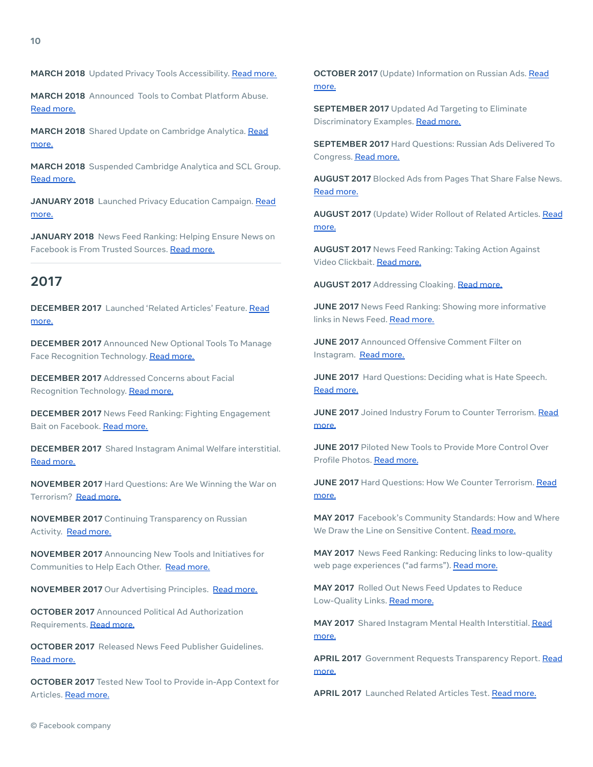**MARCH 2018** Announced Tools to Combat Platform Abuse. Read [more.](https://about.fb.com/news/2018/03/cracking-down-on-platform-abuse/)

**MARCH 2018** Shared Update on Cambridge Analytica. [Read](https://about.fb.com/news/2018/03/hard-questions-cambridge-analytica/) [more.](https://about.fb.com/news/2018/03/hard-questions-cambridge-analytica/)

**MARCH 2018** Suspended Cambridge Analytica and SCL Group. Read [more.](https://about.fb.com/news/2018/03/suspending-cambridge-analytica/)

**JANUARY 2018** Launched Privacy Education Campaign. [Read](https://about.fb.com/news/2018/01/control-privacy-principles/) [more.](https://about.fb.com/news/2018/01/control-privacy-principles/)

**JANUARY 2018** News Feed Ranking: Helping Ensure News on Facebook is From Trusted Sources. Read [more.](https://about.fb.com/news/2018/01/trusted-sources/)

## **2017**

**DECEMBER 2017** Launched 'Related Articles' Feature. [Read](https://about.fb.com/news/2017/12/news-feed-fyi-updates-in-our-fight-against-misinformation/) [more.](https://about.fb.com/news/2017/12/news-feed-fyi-updates-in-our-fight-against-misinformation/)

**DECEMBER 2017** Announced New Optional Tools To Manage Face Recognition Technology. Read [more.](https://about.fb.com/news/2017/12/managing-your-identity-on-facebook-with-face-recognition-technology/)

**DECEMBER 2017** Addressed Concerns about Facial Recognition Technology. Read [more.](https://about.fb.com/news/2017/12/hard-questions-should-i-be-afraid-of-face-recognition-technology/)

**DECEMBER 2017** News Feed Ranking: Fighting Engagement Bait on Facebook. Read [more.](https://about.fb.com/news/2017/12/news-feed-fyi-fighting-engagement-bait-on-facebook/)

**DECEMBER 2017** Shared Instagram Animal Welfare interstitial. Read [more.](https://about.instagram.com/blog/announcements/protecting-against-harmful-wildlife-and-nature-content/)

**NOVEMBER 2017** Hard Questions: Are We Winning the War on Terrorism? Read [more.](https://newsroom.fb.com/news/2017/11/hard-questions-are-we-winning-the-war-on-terrorism-online/)

**NOVEMBER 2017** Continuing Transparency on Russian Activity. Read [more.](https://about.fb.com/news/2017/11/continuing-transparency-on-russian-activity/)

**NOVEMBER 2017** Announcing New Tools and Initiatives for Communities to Help Each Other. Read [more.](https://about.fb.com/news/2017/11/facebook-social-good-forum/)

**NOVEMBER 2017** Our Advertising Principles. Read [more.](https://about.fb.com/news/2017/11/our-advertising-principles/)

**OCTOBER 2017** Announced Political Ad Authorization Requirements. Read [more.](https://about.fb.com/news/2017/10/update-on-our-advertising-transparency-and-authenticity-efforts/)

**OCTOBER 2017** Released News Feed Publisher Guidelines. Read [more.](https://about.fb.com/news/2017/10/news-feed-fyi-introducing-news-feed-publisher-guidelines/)

**OCTOBER 2017** Tested New Tool to Provide in-App Context for Articles. Read [more.](https://about.fb.com/news/2017/10/news-feed-fyi-new-test-to-provide-context-about-articles/)

**OCTOBER 2017** (Update) Information on Russian Ads. [Read](https://about.fb.com/news/2017/10/hard-questions-russian-ads-delivered-to-congress/) [more.](https://about.fb.com/news/2017/10/hard-questions-russian-ads-delivered-to-congress/)

**SEPTEMBER 2017** Updated Ad Targeting to Eliminate Discriminatory Examples. Read [more.](https://about.fb.com/news/2017/09/updates-to-our-ad-targeting/)

**SEPTEMBER 2017** Hard Questions: Russian Ads Delivered To Congress. Read [more.](https://about.fb.com/news/2017/09/information-operations-update/)

**AUGUST 2017** Blocked Ads from Pages That Share False News. Read [more.](https://about.fb.com/news/2017/08/blocking-ads-from-pages-that-repeatedly-share-false-news/)

**AUGUST 2017** (Update) Wider Rollout of Related Articles. [Read](https://about.fb.com/news/2017/04/news-feed-fyi-new-test-with-related-articles/) [more.](https://about.fb.com/news/2017/04/news-feed-fyi-new-test-with-related-articles/)

**AUGUST 2017** News Feed Ranking: Taking Action Against Video Clickbait. Read [more.](https://about.fb.com/news/2017/08/news-feed-fyi-taking-action-against-video-clickbait/)

**AUGUST 2017** Addressing Cloaking. Read [more.](https://about.fb.com/news/2017/08/news-feed-fyi-addressing-cloaking-so-people-see-more-authentic-posts/)

**JUNE 2017** News Feed Ranking: Showing more informative links in News Feed. Read [more.](https://about.fb.com/news/2017/06/news-feed-fyi-showing-more-informative-links-in-news-feed/)

**JUNE 2017** Announced Offensive Comment Filter on Instagram. Read [more.](https://about.instagram.com/blog/announcements/keeping-instagram-a-safe-place-for-self-expression/)

**JUNE 2017** Hard Questions: Deciding what is Hate Speech. Read [more.](https://about.fb.com/news/2017/06/hard-questions-hate-speech/)

**JUNE 2017** Joined Industry Forum to Counter Terrorism. [Read](https://about.fb.com/news/2017/06/global-internet-forum-to-counter-terrorism/) [more.](https://about.fb.com/news/2017/06/global-internet-forum-to-counter-terrorism/)

**JUNE 2017** Piloted New Tools to Provide More Control Over Profile Photos. Read [more.](https://about.fb.com/news/2017/06/giving-people-more-control-over-their-facebook-profile-picture/)

**JUNE 2017** Hard Questions: How We Counter Terrorism. [Read](https://about.fb.com/news/2017/06/how-we-counter-terrorism/) [more.](https://about.fb.com/news/2017/06/how-we-counter-terrorism/)

**MAY 2017** Facebook's Community Standards: How and Where We Draw the Line on Sensitive Content. Read [more.](https://about.fb.com/news/2017/05/facebooks-community-standards-how-and-where-we-draw-the-line/)

**MAY 2017** News Feed Ranking: Reducing links to low-quality web page experiences ("ad farms"). Read [more.](https://about.fb.com/news/2017/05/news-feed-fyi-new-updates-to-reduce-clickbait-headlines/)

**MAY 2017** Rolled Out News Feed Updates to Reduce Low-Quality Links. Read [more.](https://about.fb.com/news/2017/05/reducing-links-to-low-quality-web-page-experiences/)

**MAY 2017** Shared Instagram Mental Health Interstitial. [Read](https://about.instagram.com/blog/announcements/find-support-within-your-community-on-instagram/) [more.](https://about.instagram.com/blog/announcements/find-support-within-your-community-on-instagram/)

**APRIL 2017** Government Requests Transparency Report. [Read](https://about.fb.com/news/2017/04/global-government-requests-report-7/) [more.](https://about.fb.com/news/2017/04/global-government-requests-report-7/)

**APRIL 2017** Launched Related Articles Test. Read [more.](https://about.fb.com/news/2017/04/news-feed-fyi-new-test-with-related-articles/)